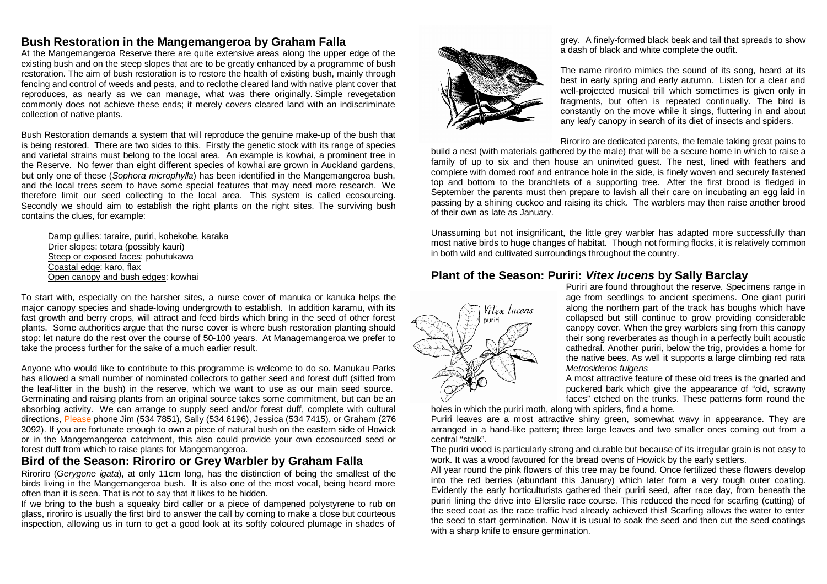# **Bush Restoration in the Mangemangeroa by Graham Falla**

At the Mangemangeroa Reserve there are quite extensive areas along the upper edge of the existing bush and on the steep slopes that are to be greatly enhanced by a programme of bush restoration. The aim of bush restoration is to restore the health of existing bush, mainly through fencing and control of weeds and pests, and to reclothe cleared land with native plant cover that reproduces, as nearly as we can manage, what was there originally. Simple revegetation commonly does not achieve these ends; it merely covers cleared land with an indiscriminate collection of native plants.

Bush Restoration demands a system that will reproduce the genuine make-up of the bush that is being restored. There are two sides to this. Firstly the genetic stock with its range of species and varietal strains must belong to the local area. An example is kowhai, a prominent tree in the Reserve. No fewer than eight different species of kowhai are grown in Auckland gardens, but only one of these (*Sophora microphylla*) has been identified in the Mangemangeroa bush, and the local trees seem to have some special features that may need more research. We therefore limit our seed collecting to the local area. This system is called ecosourcing. Secondly we should aim to establish the right plants on the right sites. The surviving bush contains the clues, for example:

Damp gullies: taraire, puriri, kohekohe, karaka Drier slopes: totara (possibly kauri) Steep or exposed faces: pohutukawa Coastal edge: karo, flax Open canopy and bush edges: kowhai

To start with, especially on the harsher sites, a nurse cover of manuka or kanuka helps the major canopy species and shade-loving undergrowth to establish. In addition karamu, with its fast growth and berry crops, will attract and feed birds which bring in the seed of other forest plants. Some authorities argue that the nurse cover is where bush restoration planting should stop: let nature do the rest over the course of 50-100 years. At Managemangeroa we prefer to take the process further for the sake of a much earlier result.

Anyone who would like to contribute to this programme is welcome to do so. Manukau Parks has allowed a small number of nominated collectors to gather seed and forest duff (sifted from the leaf-litter in the bush) in the reserve, which we want to use as our main seed source. Germinating and raising plants from an original source takes some commitment, but can be an absorbing activity. We can arrange to supply seed and/or forest duff, complete with cultural directions, Please phone Jim (534 7851), Sally (534 6196), Jessica (534 7415), or Graham (276 3092). If you are fortunate enough to own a piece of natural bush on the eastern side of Howick or in the Mangemangeroa catchment, this also could provide your own ecosourced seed or forest duff from which to raise plants for Mangemangeroa.

# **Bird of the Season: Riroriro or Grey Warbler by Graham Falla**

Riroriro (*Gerygone igata*), at only 11cm long, has the distinction of being the smallest of the birds living in the Mangemangeroa bush. It is also one of the most vocal, being heard more often than it is seen. That is not to say that it likes to be hidden.

If we bring to the bush a squeaky bird caller or a piece of dampened polystyrene to rub on glass, riroriro is usually the first bird to answer the call by coming to make a close but courteous inspection, allowing us in turn to get a good look at its softly coloured plumage in shades of



grey. A finely-formed black beak and tail that spreads to show a dash of black and white complete the outfit.

The name riroriro mimics the sound of its song, heard at its best in early spring and early autumn. Listen for a clear and well-projected musical trill which sometimes is given only in fragments, but often is repeated continually. The bird is constantly on the move while it sings, fluttering in and about any leafy canopy in search of its diet of insects and spiders.

Riroriro are dedicated parents, the female taking great pains to

build a nest (with materials gathered by the male) that will be a secure home in which to raise a family of up to six and then house an uninvited guest. The nest, lined with feathers and complete with domed roof and entrance hole in the side, is finely woven and securely fastened top and bottom to the branchlets of a supporting tree. After the first brood is fledged in September the parents must then prepare to lavish all their care on incubating an egg laid in passing by a shining cuckoo and raising its chick. The warblers may then raise another brood of their own as late as January.

Unassuming but not insignificant, the little grey warbler has adapted more successfully than most native birds to huge changes of habitat. Though not forming flocks, it is relatively common in both wild and cultivated surroundings throughout the country.

# **Plant of the Season: Puriri:** *Vitex lucens* **by Sally Barclay**



Puriri are found throughout the reserve. Specimens range in age from seedlings to ancient specimens. One giant puriri along the northern part of the track has boughs which have collapsed but still continue to grow providing considerable canopy cover. When the grey warblers sing from this canopy their song reverberates as though in a perfectly built acoustic cathedral. Another puriri, below the trig, provides a home for the native bees. As well it supports a large climbing red rata *Metrosideros fulgens*

A most attractive feature of these old trees is the gnarled and puckered bark which give the appearance of "old, scrawny faces" etched on the trunks. These patterns form round the

holes in which the puriri moth, along with spiders, find a home.

Puriri leaves are a most attractive shiny green, somewhat wavy in appearance. They are arranged in a hand-like pattern; three large leaves and two smaller ones coming out from a central "stalk".

The puriri wood is particularly strong and durable but because of its irregular grain is not easy to work. It was a wood favoured for the bread ovens of Howick by the early settlers.

All year round the pink flowers of this tree may be found. Once fertilized these flowers develop into the red berries (abundant this January) which later form a very tough outer coating. Evidently the early horticulturists gathered their puriri seed, after race day, from beneath the puriri lining the drive into Ellerslie race course. This reduced the need for scarfing (cutting) of the seed coat as the race traffic had already achieved this! Scarfing allows the water to enter the seed to start germination. Now it is usual to soak the seed and then cut the seed coatings with a sharp knife to ensure germination.